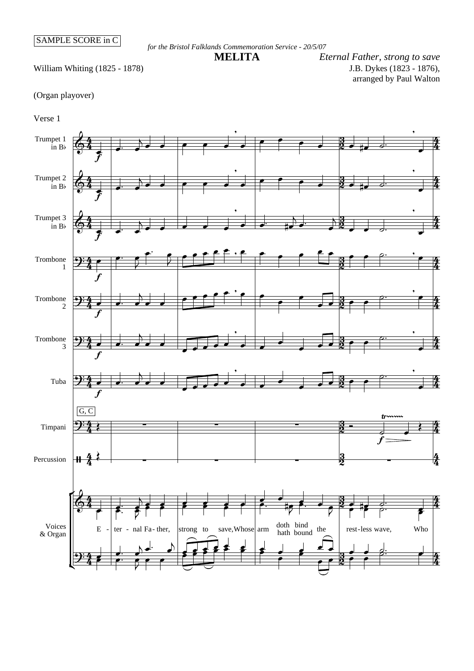*for the Bristol Falklands Commemoration Service - 20/5/07*

William Whiting (1825 - 1878)

J.B. Dykes (1823 - 1876), arranged by Paul Walton **MELITA** *Eternal Father, strong to save*

## (Organ playover)



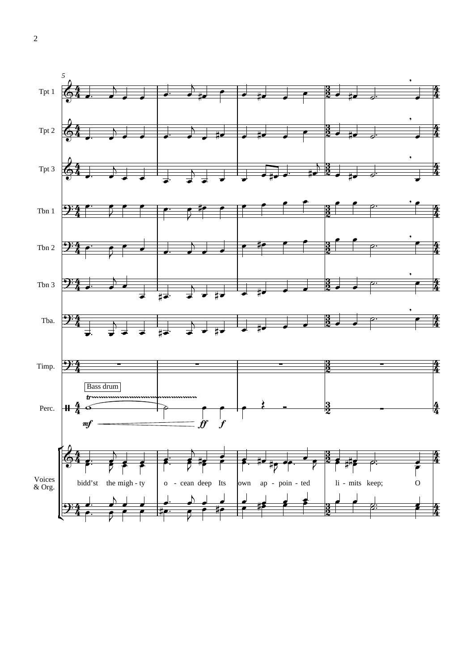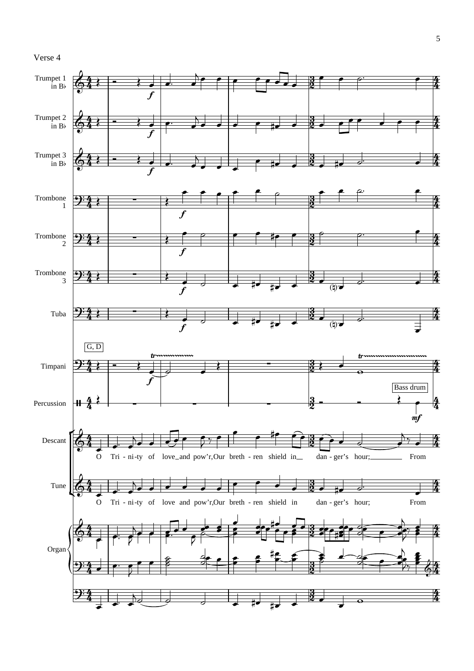